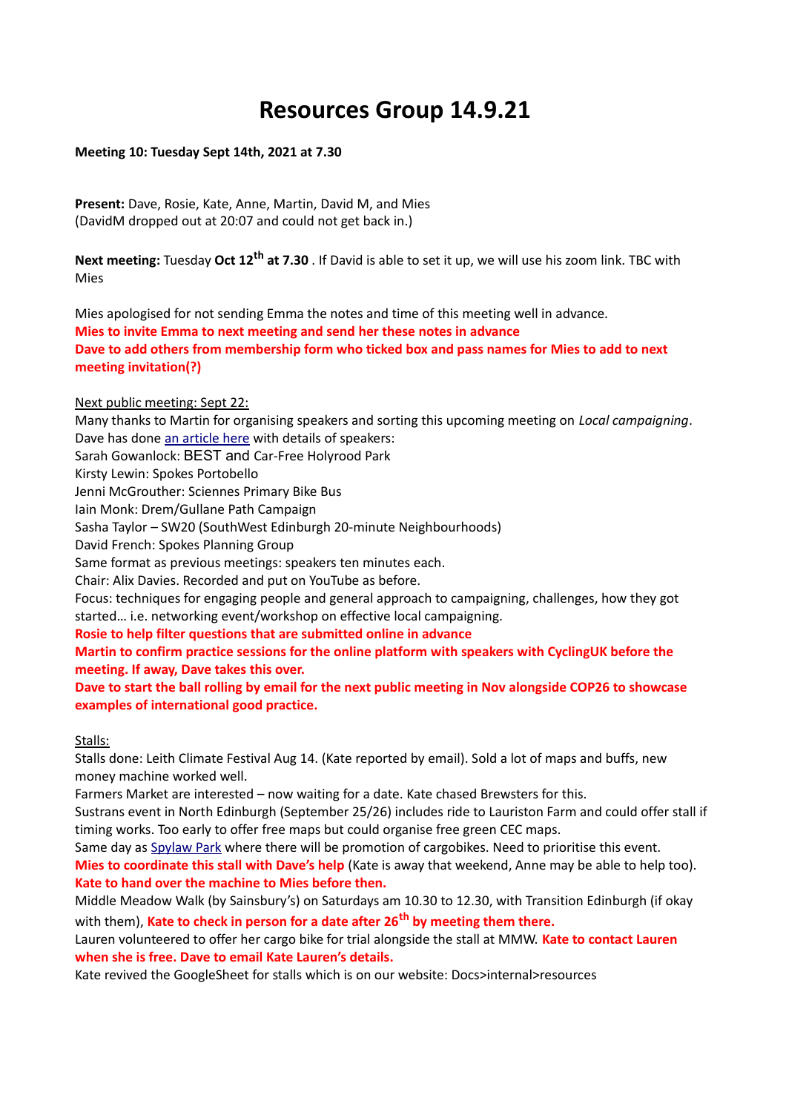# **Resources Group 14.9.21**

## **Meeting 10: Tuesday Sept 14th, 2021 at 7.30**

**Present:** Dave, Rosie, Kate, Anne, Martin, David M, and Mies (DavidM dropped out at 20:07 and could not get back in.)

**Next meeting:** Tuesday **Oct 12th at 7.30** . If David is able to set it up, we will use his zoom link. TBC with Mies

Mies apologised for not sending Emma the notes and time of this meeting well in advance. **Mies to invite Emma to next meeting and send her these notes in advance Dave to add others from membership form who ticked box and pass names for Mies to add to next meeting invitation(?)**

# Next public meeting: Sept 22:

Many thanks to Martin for organising speakers and sorting this upcoming meeting on *Local campaigning*. Dave has done [an article here](http://www.spokes.org.uk/2021/09/local-bike-campaigning/) with details of speakers: Sarah Gowanlock: BEST and Car-Free Holyrood Park Kirsty Lewin: Spokes Portobello Jenni McGrouther: Sciennes Primary Bike Bus Iain Monk: Drem/Gullane Path Campaign Sasha Taylor – SW20 (SouthWest Edinburgh 20-minute Neighbourhoods) David French: Spokes Planning Group Same format as previous meetings: speakers ten minutes each. Chair: Alix Davies. Recorded and put on YouTube as before. Focus: techniques for engaging people and general approach to campaigning, challenges, how they got started… i.e. networking event/workshop on effective local campaigning. **Rosie to help filter questions that are submitted online in advance Martin to confirm practice sessions for the online platform with speakers with CyclingUK before the meeting. If away, Dave takes this over.**

**Dave to start the ball rolling by email for the next public meeting in Nov alongside COP26 to showcase examples of international good practice.**

### Stalls:

Stalls done: Leith Climate Festival Aug 14. (Kate reported by email). Sold a lot of maps and buffs, new money machine worked well.

Farmers Market are interested – now waiting for a date. Kate chased Brewsters for this.

Sustrans event in North Edinburgh (September 25/26) includes ride to Lauriston Farm and could offer stall if timing works. Too early to offer free maps but could organise free green CEC maps.

Same day as [Spylaw Park](https://twitter.com/cargobikemovmnt/status/1436247517805654017) where there will be promotion of cargobikes. Need to prioritise this event. **Mies to coordinate this stall with Dave's help** (Kate is away that weekend, Anne may be able to help too). **Kate to hand over the machine to Mies before then.**

Middle Meadow Walk (by Sainsbury's) on Saturdays am 10.30 to 12.30, with Transition Edinburgh (if okay with them), **Kate to check in person for a date after 26th by meeting them there.**

Lauren volunteered to offer her cargo bike for trial alongside the stall at MMW. **Kate to contact Lauren when she is free. Dave to email Kate Lauren's details.**

Kate revived the GoogleSheet for stalls which is on our website: Docs>internal>resources